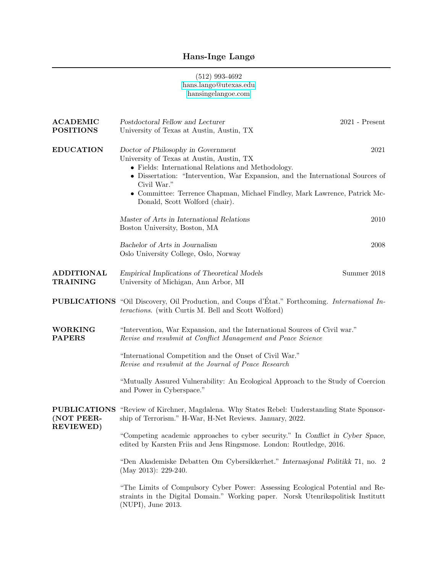## Hans-Inge Langø

## (512) 993-4692 [hans.lango@utexas.edu](mailto:hans.lango@utexas.edu) [hansingelangoe.com](https://www.hansingelangoe.com)

| <b>ACADEMIC</b>                                        | Postdoctoral Fellow and Lecturer<br>$2021$ - Present                                                                                                                                                                                                                                                                                                           |  |
|--------------------------------------------------------|----------------------------------------------------------------------------------------------------------------------------------------------------------------------------------------------------------------------------------------------------------------------------------------------------------------------------------------------------------------|--|
| <b>POSITIONS</b>                                       | University of Texas at Austin, Austin, TX                                                                                                                                                                                                                                                                                                                      |  |
| <b>EDUCATION</b>                                       | Doctor of Philosophy in Government<br>2021<br>University of Texas at Austin, Austin, TX<br>• Fields: International Relations and Methodology.<br>• Dissertation: "Intervention, War Expansion, and the International Sources of<br>Civil War."<br>• Committee: Terrence Chapman, Michael Findley, Mark Lawrence, Patrick Mc-<br>Donald, Scott Wolford (chair). |  |
|                                                        | Master of Arts in International Relations<br>2010<br>Boston University, Boston, MA                                                                                                                                                                                                                                                                             |  |
|                                                        | Bachelor of Arts in Journalism<br>2008<br>Oslo University College, Oslo, Norway                                                                                                                                                                                                                                                                                |  |
| <b>ADDITIONAL</b><br><b>TRAINING</b>                   | Empirical Implications of Theoretical Models<br>Summer 2018<br>University of Michigan, Ann Arbor, MI                                                                                                                                                                                                                                                           |  |
|                                                        | <b>PUBLICATIONS</b> "Oil Discovery, Oil Production, and Coups d'État." Forthcoming. International In-<br>teractions. (with Curtis M. Bell and Scott Wolford)                                                                                                                                                                                                   |  |
| <b>WORKING</b><br><b>PAPERS</b>                        | "Intervention, War Expansion, and the International Sources of Civil war."<br>Revise and resubmit at Conflict Management and Peace Science                                                                                                                                                                                                                     |  |
|                                                        | "International Competition and the Onset of Civil War."<br>Revise and resubmit at the Journal of Peace Research                                                                                                                                                                                                                                                |  |
|                                                        | "Mutually Assured Vulnerability: An Ecological Approach to the Study of Coercion<br>and Power in Cyberspace."                                                                                                                                                                                                                                                  |  |
| <b>PUBLICATIONS</b><br>(NOT PEER-<br><b>REVIEWED</b> ) | "Review of Kirchner, Magdalena. Why States Rebel: Understanding State Sponsor-<br>ship of Terrorism." H-War, H-Net Reviews. January, 2022.                                                                                                                                                                                                                     |  |
|                                                        | "Competing academic approaches to cyber security." In Conflict in Cyber Space,<br>edited by Karsten Friis and Jens Ringsmose. London: Routledge, 2016.                                                                                                                                                                                                         |  |
|                                                        | "Den Akademiske Debatten Om Cybersikkerhet." Internasjonal Politikk 71, no. 2<br>(May 2013): $229-240$ .                                                                                                                                                                                                                                                       |  |
|                                                        | "The Limits of Compulsory Cyber Power: Assessing Ecological Potential and Re-<br>straints in the Digital Domain." Working paper. Norsk Utenrikspolitisk Institutt<br>(NUPI), June 2013.                                                                                                                                                                        |  |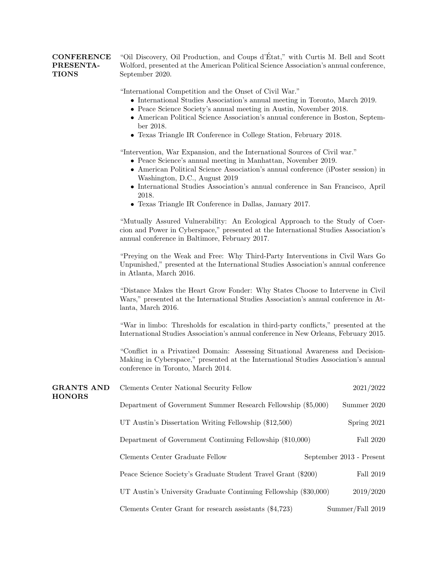|                  | <b>CONFERENCE</b> "Oil Discovery, Oil Production, and Coups d'Etat," with Curtis M. Bell and Scott |
|------------------|----------------------------------------------------------------------------------------------------|
| <b>PRESENTA-</b> | Wolford, presented at the American Political Science Association's annual conference,              |
| <b>TIONS</b>     | September 2020.                                                                                    |

"International Competition and the Onset of Civil War."

- International Studies Association's annual meeting in Toronto, March 2019.
- Peace Science Society's annual meeting in Austin, November 2018.
- American Political Science Association's annual conference in Boston, September 2018.
- Texas Triangle IR Conference in College Station, February 2018.

"Intervention, War Expansion, and the International Sources of Civil war."

- Peace Science's annual meeting in Manhattan, November 2019.
- American Political Science Association's annual conference (iPoster session) in Washington, D.C., August 2019
- International Studies Association's annual conference in San Francisco, April 2018.
- Texas Triangle IR Conference in Dallas, January 2017.

"Mutually Assured Vulnerability: An Ecological Approach to the Study of Coercion and Power in Cyberspace," presented at the International Studies Association's annual conference in Baltimore, February 2017.

"Preying on the Weak and Free: Why Third-Party Interventions in Civil Wars Go Unpunished," presented at the International Studies Association's annual conference in Atlanta, March 2016.

"Distance Makes the Heart Grow Fonder: Why States Choose to Intervene in Civil Wars," presented at the International Studies Association's annual conference in Atlanta, March 2016.

"War in limbo: Thresholds for escalation in third-party conflicts," presented at the International Studies Association's annual conference in New Orleans, February 2015.

"Conflict in a Privatized Domain: Assessing Situational Awareness and Decision-Making in Cyberspace," presented at the International Studies Association's annual conference in Toronto, March 2014.

| <b>GRANTS AND</b><br><b>HONORS</b> | Clements Center National Security Fellow                         | 2021/2022                |
|------------------------------------|------------------------------------------------------------------|--------------------------|
|                                    | Department of Government Summer Research Fellowship (\$5,000)    | Summer 2020              |
|                                    | UT Austin's Dissertation Writing Fellowship (\$12,500)           | Spring 2021              |
|                                    | Department of Government Continuing Fellowship (\$10,000)        | Fall 2020                |
|                                    | Clements Center Graduate Fellow                                  | September 2013 - Present |
|                                    | Peace Science Society's Graduate Student Travel Grant (\$200)    | Fall 2019                |
|                                    | UT Austin's University Graduate Continuing Fellowship (\$30,000) | 2019/2020                |
|                                    | Clements Center Grant for research assistants (\$4,723)          | Summer/Fall 2019         |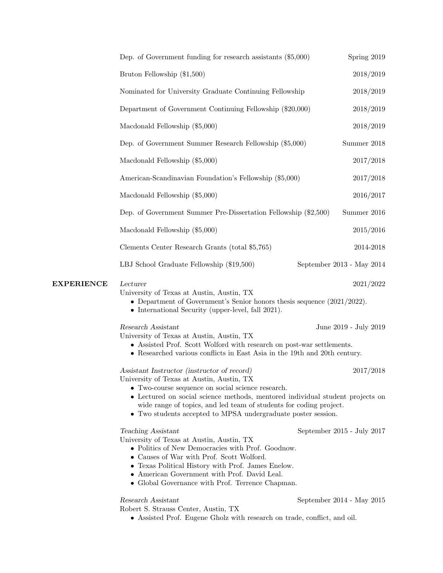|                   | Dep. of Government funding for research assistants $(\$5,000)$                                                                                                                                                                                                                                                                                                        | Spring 2019                |
|-------------------|-----------------------------------------------------------------------------------------------------------------------------------------------------------------------------------------------------------------------------------------------------------------------------------------------------------------------------------------------------------------------|----------------------------|
|                   | Bruton Fellowship (\$1,500)                                                                                                                                                                                                                                                                                                                                           | 2018/2019                  |
|                   | Nominated for University Graduate Continuing Fellowship                                                                                                                                                                                                                                                                                                               | 2018/2019                  |
|                   | Department of Government Continuing Fellowship (\$20,000)                                                                                                                                                                                                                                                                                                             | 2018/2019                  |
|                   | Macdonald Fellowship (\$5,000)                                                                                                                                                                                                                                                                                                                                        | 2018/2019                  |
|                   | Dep. of Government Summer Research Fellowship (\$5,000)                                                                                                                                                                                                                                                                                                               | Summer 2018                |
|                   | Macdonald Fellowship (\$5,000)                                                                                                                                                                                                                                                                                                                                        | 2017/2018                  |
|                   | American-Scandinavian Foundation's Fellowship (\$5,000)                                                                                                                                                                                                                                                                                                               | 2017/2018                  |
|                   | Macdonald Fellowship (\$5,000)                                                                                                                                                                                                                                                                                                                                        | 2016/2017                  |
|                   | Dep. of Government Summer Pre-Dissertation Fellowship (\$2,500)                                                                                                                                                                                                                                                                                                       | Summer 2016                |
|                   | Macdonald Fellowship (\$5,000)                                                                                                                                                                                                                                                                                                                                        | 2015/2016                  |
|                   | Clements Center Research Grants (total \$5,765)                                                                                                                                                                                                                                                                                                                       | 2014-2018                  |
|                   | LBJ School Graduate Fellowship (\$19,500)                                                                                                                                                                                                                                                                                                                             | September 2013 - May 2014  |
| <b>EXPERIENCE</b> | Lecturer<br>University of Texas at Austin, Austin, TX<br>• Department of Government's Senior honors thesis sequence $(2021/2022)$ .<br>• International Security (upper-level, fall 2021).                                                                                                                                                                             | 2021/2022                  |
|                   | Research Assistant<br>University of Texas at Austin, Austin, TX<br>• Assisted Prof. Scott Wolford with research on post-war settlements.<br>• Researched various conflicts in East Asia in the 19th and 20th century.                                                                                                                                                 | June 2019 - July 2019      |
|                   | Assistant Instructor (instructor of record)<br>University of Texas at Austin, Austin, TX<br>• Two-course sequence on social science research.<br>• Lectured on social science methods, mentored individual student projects on<br>wide range of topics, and led team of students for coding project.<br>• Two students accepted to MPSA undergraduate poster session. | 2017/2018                  |
|                   | Teaching Assistant<br>University of Texas at Austin, Austin, TX<br>• Politics of New Democracies with Prof. Goodnow.<br>• Causes of War with Prof. Scott Wolford.<br>• Texas Political History with Prof. James Enelow.<br>• American Government with Prof. David Leal.<br>• Global Governance with Prof. Terrence Chapman.                                           | September 2015 - July 2017 |
|                   | Research Assistant<br>Robert S. Strauss Center, Austin, TX<br>• Assisted Prof. Eugene Gholz with research on trade, conflict, and oil.                                                                                                                                                                                                                                | September 2014 - May 2015  |